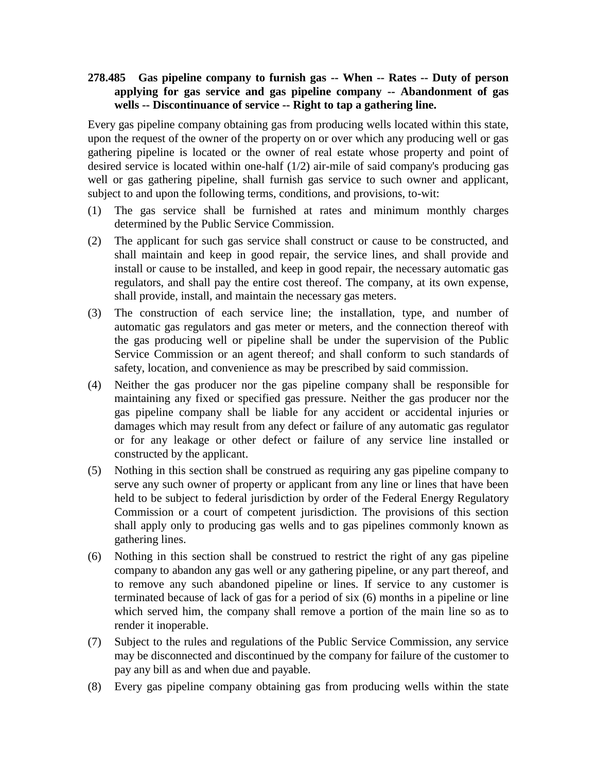## **278.485 Gas pipeline company to furnish gas -- When -- Rates -- Duty of person applying for gas service and gas pipeline company -- Abandonment of gas wells -- Discontinuance of service -- Right to tap a gathering line.**

Every gas pipeline company obtaining gas from producing wells located within this state, upon the request of the owner of the property on or over which any producing well or gas gathering pipeline is located or the owner of real estate whose property and point of desired service is located within one-half (1/2) air-mile of said company's producing gas well or gas gathering pipeline, shall furnish gas service to such owner and applicant, subject to and upon the following terms, conditions, and provisions, to-wit:

- (1) The gas service shall be furnished at rates and minimum monthly charges determined by the Public Service Commission.
- (2) The applicant for such gas service shall construct or cause to be constructed, and shall maintain and keep in good repair, the service lines, and shall provide and install or cause to be installed, and keep in good repair, the necessary automatic gas regulators, and shall pay the entire cost thereof. The company, at its own expense, shall provide, install, and maintain the necessary gas meters.
- (3) The construction of each service line; the installation, type, and number of automatic gas regulators and gas meter or meters, and the connection thereof with the gas producing well or pipeline shall be under the supervision of the Public Service Commission or an agent thereof; and shall conform to such standards of safety, location, and convenience as may be prescribed by said commission.
- (4) Neither the gas producer nor the gas pipeline company shall be responsible for maintaining any fixed or specified gas pressure. Neither the gas producer nor the gas pipeline company shall be liable for any accident or accidental injuries or damages which may result from any defect or failure of any automatic gas regulator or for any leakage or other defect or failure of any service line installed or constructed by the applicant.
- (5) Nothing in this section shall be construed as requiring any gas pipeline company to serve any such owner of property or applicant from any line or lines that have been held to be subject to federal jurisdiction by order of the Federal Energy Regulatory Commission or a court of competent jurisdiction. The provisions of this section shall apply only to producing gas wells and to gas pipelines commonly known as gathering lines.
- (6) Nothing in this section shall be construed to restrict the right of any gas pipeline company to abandon any gas well or any gathering pipeline, or any part thereof, and to remove any such abandoned pipeline or lines. If service to any customer is terminated because of lack of gas for a period of six (6) months in a pipeline or line which served him, the company shall remove a portion of the main line so as to render it inoperable.
- (7) Subject to the rules and regulations of the Public Service Commission, any service may be disconnected and discontinued by the company for failure of the customer to pay any bill as and when due and payable.
- (8) Every gas pipeline company obtaining gas from producing wells within the state